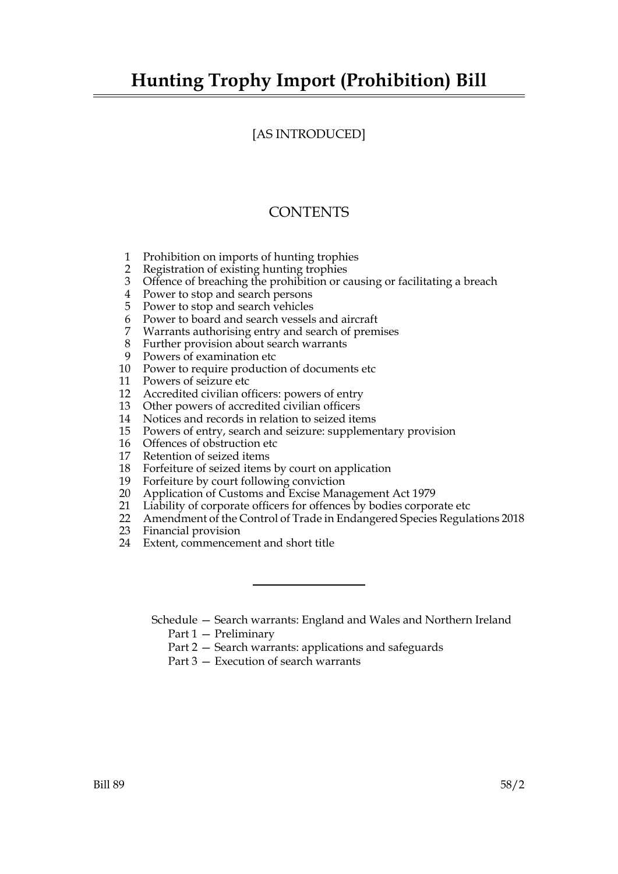# **Hunting Trophy Import (Prohibition) Bill**

## [AS INTRODUCED]

## **CONTENTS**

- 1 Prohibition on imports of hunting trophies
- 2 Registration of existing hunting trophies
- 3 Offence of breaching the prohibition or causing or facilitating a breach
- 4 Power to stop and search persons
- 5 Power to stop and search vehicles
- 6 Power to board and search vessels and aircraft<br>7 Warrants authorising entry and search of prem
- Warrants authorising entry and search of premises
- 8 Further provision about search warrants
- 9 Powers of examination etc
- 10 Power to require production of documents etc
- 11 Powers of seizure etc
- 12 Accredited civilian officers: powers of entry
- 13 Other powers of accredited civilian officers
- 14 Notices and records in relation to seized items
- 15 Powers of entry, search and seizure: supplementary provision
- 16 Offences of obstruction etc
- 17 Retention of seized items
- 18 Forfeiture of seized items by court on application
- 19 Forfeiture by court following conviction
- 20 Application of Customs and Excise Management Act 1979
- 21 Liability of corporate officers for offences by bodies corporate etc
- 22 Amendment of the Control of Trade in Endangered Species Regulations 2018
- 23 Financial provision
- 24 Extent, commencement and short title
	- Schedule Search warrants: England and Wales and Northern Ireland Part 1 — Preliminary
		- Part 2 Search warrants: applications and safeguards
		- Part 3 Execution of search warrants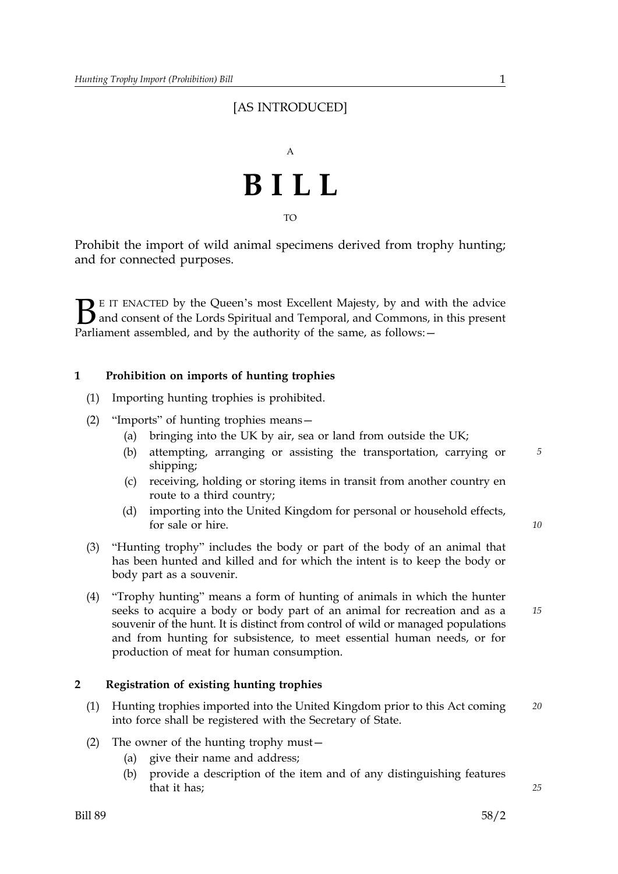# [AS INTRODUCED]



TO

Prohibit the import of wild animal specimens derived from trophy hunting; and for connected purposes.

 $\sum$  E IT ENACTED by the Queen's most Excellent Majesty, by and with the advice<br>and consent of the Lords Spiritual and Temporal, and Commons, in this present<br>Parliament assembled, and by the authority of the same as follo and consent of the Lords Spiritual and Temporal, and Commons, in this present Parliament assembled, and by the authority of the same, as follows: -

## **1 Prohibition on imports of hunting trophies**

- (1) Importing hunting trophies is prohibited.
- (2) "Imports" of hunting trophies means—
	- (a) bringing into the UK by air, sea or land from outside the UK;
	- (b) attempting, arranging or assisting the transportation, carrying or *5* shipping;
	- (c) receiving, holding or storing items in transit from another country en route to a third country;
	- (d) importing into the United Kingdom for personal or household effects, for sale or hire.
- (3) "Hunting trophy" includes the body or part of the body of an animal that has been hunted and killed and for which the intent is to keep the body or body part as a souvenir.
- (4) "Trophy hunting" means a form of hunting of animals in which the hunter seeks to acquire a body or body part of an animal for recreation and as a souvenir of the hunt. It is distinct from control of wild or managed populations and from hunting for subsistence, to meet essential human needs, or for production of meat for human consumption.

## **2 Registration of existing hunting trophies**

- (1) Hunting trophies imported into the United Kingdom prior to this Act coming *20* into force shall be registered with the Secretary of State.
- (2) The owner of the hunting trophy must—
	- (a) give their name and address;
	- (b) provide a description of the item and of any distinguishing features that it has;

*10*

*15*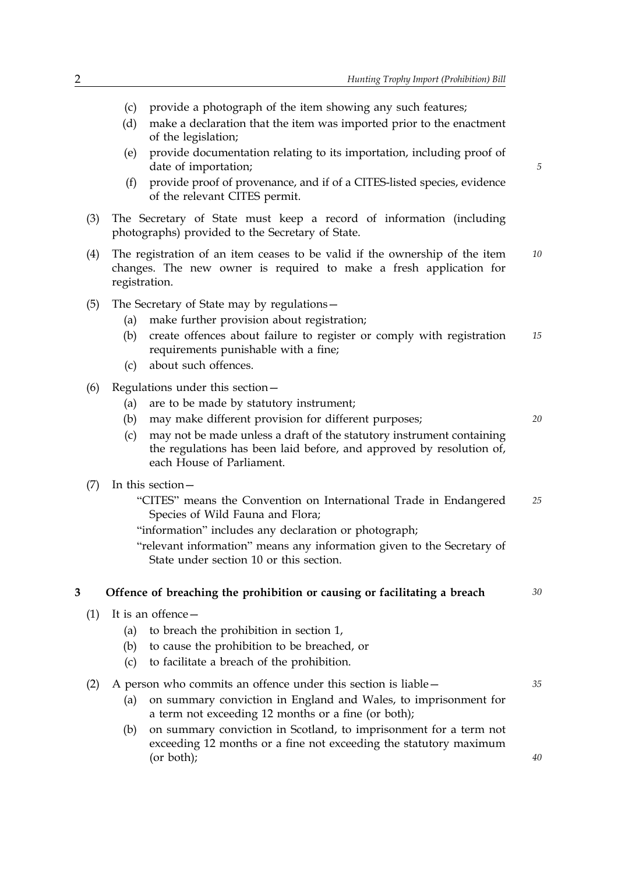- (c) provide a photograph of the item showing any such features;
- (d) make a declaration that the item was imported prior to the enactment of the legislation;
- (e) provide documentation relating to its importation, including proof of date of importation;
- (f) provide proof of provenance, and if of a CITES-listed species, evidence of the relevant CITES permit.
- (3) The Secretary of State must keep a record of information (including photographs) provided to the Secretary of State.
- (4) The registration of an item ceases to be valid if the ownership of the item *10* changes. The new owner is required to make a fresh application for registration.
- (5) The Secretary of State may by regulations—
	- (a) make further provision about registration;
	- (b) create offences about failure to register or comply with registration *15* requirements punishable with a fine;
	- (c) about such offences.
- (6) Regulations under this section—
	- (a) are to be made by statutory instrument;
	- (b) may make different provision for different purposes; *20*

- (c) may not be made unless a draft of the statutory instrument containing the regulations has been laid before, and approved by resolution of, each House of Parliament.
- (7) In this section—
	- "CITES" means the Convention on International Trade in Endangered *25* Species of Wild Fauna and Flora;
	- "information" includes any declaration or photograph;
	- "relevant information" means any information given to the Secretary of State under section 10 or this section.

#### **3 Offence of breaching the prohibition or causing or facilitating a breach** *30*

- (1) It is an offence—
	- (a) to breach the prohibition in section 1,
	- (b) to cause the prohibition to be breached, or
	- (c) to facilitate a breach of the prohibition.

(2) A person who commits an offence under this section is liable— *35*

- (a) on summary conviction in England and Wales, to imprisonment for a term not exceeding 12 months or a fine (or both);
- (b) on summary conviction in Scotland, to imprisonment for a term not exceeding 12 months or a fine not exceeding the statutory maximum (or both);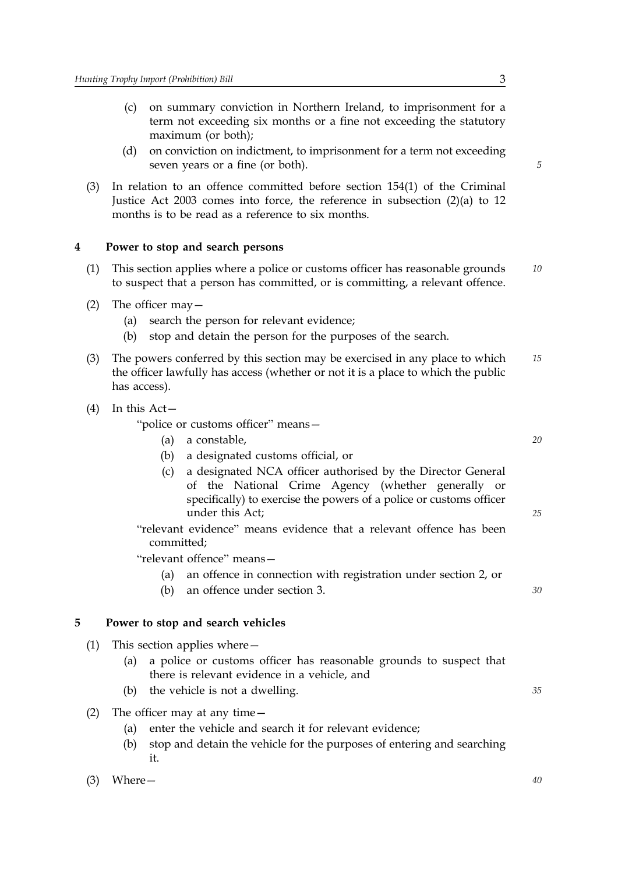- (c) on summary conviction in Northern Ireland, to imprisonment for a term not exceeding six months or a fine not exceeding the statutory maximum (or both);
- (d) on conviction on indictment, to imprisonment for a term not exceeding seven years or a fine (or both).
- (3) In relation to an offence committed before section 154(1) of the Criminal Justice Act 2003 comes into force, the reference in subsection (2)(a) to 12 months is to be read as a reference to six months.

## **4 Power to stop and search persons**

- (1) This section applies where a police or customs officer has reasonable grounds *10* to suspect that a person has committed, or is committing, a relevant offence.
- (2) The officer may—
	- (a) search the person for relevant evidence;
	- (b) stop and detain the person for the purposes of the search.
- (3) The powers conferred by this section may be exercised in any place to which *15* the officer lawfully has access (whether or not it is a place to which the public has access).
- (4) In this Act—

"police or customs officer" means—

- (a) a constable, *20*
- (b) a designated customs official, or
- (c) a designated NCA officer authorised by the Director General of the National Crime Agency (whether generally or specifically) to exercise the powers of a police or customs officer under this Act;
- "relevant evidence" means evidence that a relevant offence has been committed;

"relevant offence" means—

- (a) an offence in connection with registration under section 2, or
- (b) an offence under section 3. *30*

## **5 Power to stop and search vehicles**

- (1) This section applies where—
	- (a) a police or customs officer has reasonable grounds to suspect that there is relevant evidence in a vehicle, and
	- (b) the vehicle is not a dwelling. *35*
- (2) The officer may at any time—
	- (a) enter the vehicle and search it for relevant evidence;
	- (b) stop and detain the vehicle for the purposes of entering and searching it.

```
(3) Where— 40
```
*5*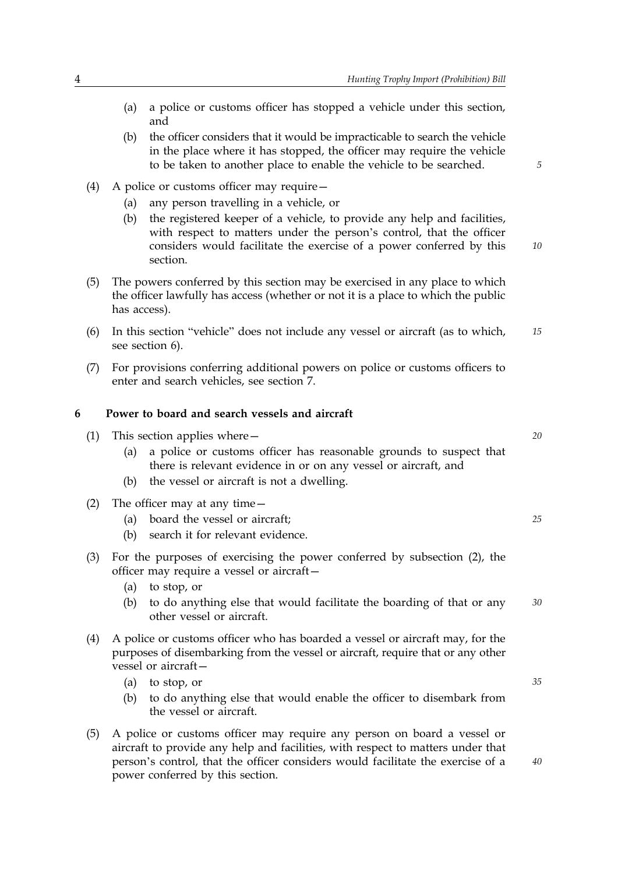- (a) a police or customs officer has stopped a vehicle under this section, and
- (b) the officer considers that it would be impracticable to search the vehicle in the place where it has stopped, the officer may require the vehicle to be taken to another place to enable the vehicle to be searched.
- (4) A police or customs officer may require—
	- (a) any person travelling in a vehicle, or
	- (b) the registered keeper of a vehicle, to provide any help and facilities, *10* with respect to matters under the person's control, that the officer considers would facilitate the exercise of a power conferred by this section.
- (5) The powers conferred by this section may be exercised in any place to which the officer lawfully has access (whether or not it is a place to which the public has access).
- (6) In this section "vehicle" does not include any vessel or aircraft (as to which, *15* see section 6).
- (7) For provisions conferring additional powers on police or customs officers to enter and search vehicles, see section 7.

#### **6 Power to board and search vessels and aircraft**

- (1) This section applies where— *20*
	- (a) a police or customs officer has reasonable grounds to suspect that there is relevant evidence in or on any vessel or aircraft, and
	- (b) the vessel or aircraft is not a dwelling.
- (2) The officer may at any time—
	- (a) board the vessel or aircraft; *25*
	- (b) search it for relevant evidence.
- (3) For the purposes of exercising the power conferred by subsection (2), the officer may require a vessel or aircraft—
	- (a) to stop, or
	- (b) to do anything else that would facilitate the boarding of that or any *30* other vessel or aircraft.
- (4) A police or customs officer who has boarded a vessel or aircraft may, for the purposes of disembarking from the vessel or aircraft, require that or any other vessel or aircraft—
	- (a) to stop, or *35*
	- (b) to do anything else that would enable the officer to disembark from the vessel or aircraft.
- (5) A police or customs officer may require any person on board a vessel or aircraft to provide any help and facilities, with respect to matters under that person's control, that the officer considers would facilitate the exercise of a power conferred by this section.

*5*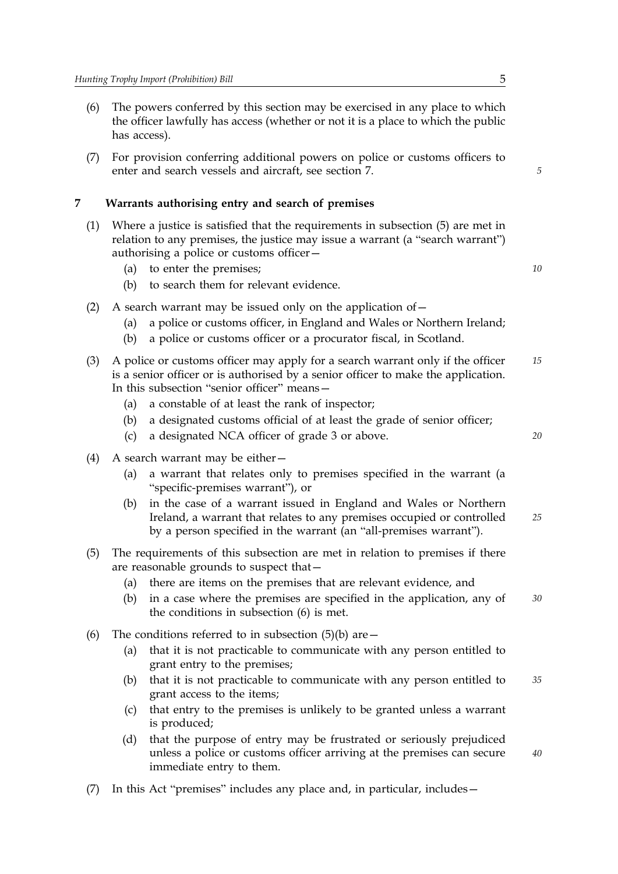- (6) The powers conferred by this section may be exercised in any place to which the officer lawfully has access (whether or not it is a place to which the public has access).
- (7) For provision conferring additional powers on police or customs officers to enter and search vessels and aircraft, see section 7.

#### **7 Warrants authorising entry and search of premises**

- (1) Where a justice is satisfied that the requirements in subsection (5) are met in relation to any premises, the justice may issue a warrant (a "search warrant") authorising a police or customs officer—
	- (a) to enter the premises; *10*
	- (b) to search them for relevant evidence.
- (2) A search warrant may be issued only on the application of  $-$ 
	- (a) a police or customs officer, in England and Wales or Northern Ireland;
	- (b) a police or customs officer or a procurator fiscal, in Scotland.
- (3) A police or customs officer may apply for a search warrant only if the officer *15* is a senior officer or is authorised by a senior officer to make the application. In this subsection "senior officer" means—
	- (a) a constable of at least the rank of inspector;
	- (b) a designated customs official of at least the grade of senior officer;
	- (c) a designated NCA officer of grade 3 or above. *20*
- (4) A search warrant may be either—
	- (a) a warrant that relates only to premises specified in the warrant (a "specific-premises warrant"), or
	- (b) *25* in the case of a warrant issued in England and Wales or Northern Ireland, a warrant that relates to any premises occupied or controlled by a person specified in the warrant (an "all-premises warrant").
- (5) The requirements of this subsection are met in relation to premises if there are reasonable grounds to suspect that—
	- (a) there are items on the premises that are relevant evidence, and
	- (b) in a case where the premises are specified in the application, any of *30* the conditions in subsection (6) is met.
- (6) The conditions referred to in subsection  $(5)(b)$  are  $-$ 
	- (a) that it is not practicable to communicate with any person entitled to grant entry to the premises;
	- (b) that it is not practicable to communicate with any person entitled to *35* grant access to the items;
	- (c) that entry to the premises is unlikely to be granted unless a warrant is produced;
	- (d) that the purpose of entry may be frustrated or seriously prejudiced unless a police or customs officer arriving at the premises can secure immediate entry to them.
- (7) In this Act "premises" includes any place and, in particular, includes—

*5*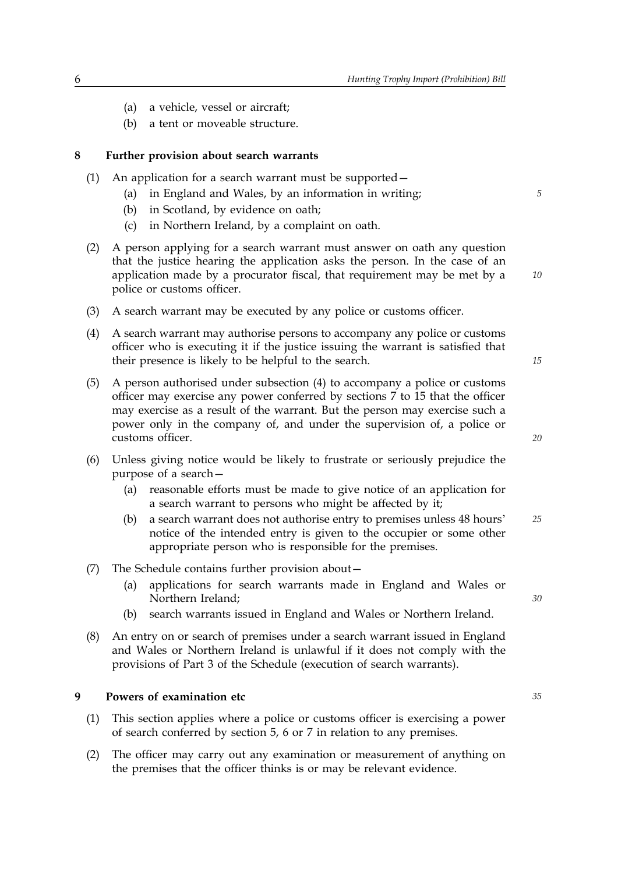- (a) a vehicle, vessel or aircraft;
- (b) a tent or moveable structure.

#### **8 Further provision about search warrants**

- (1) An application for a search warrant must be supported—
	- (a) in England and Wales, by an information in writing; *5*
	- (b) in Scotland, by evidence on oath;
	- (c) in Northern Ireland, by a complaint on oath.
- (2) A person applying for a search warrant must answer on oath any question that the justice hearing the application asks the person. In the case of an application made by a procurator fiscal, that requirement may be met by a police or customs officer.
- (3) A search warrant may be executed by any police or customs officer.
- (4) A search warrant may authorise persons to accompany any police or customs officer who is executing it if the justice issuing the warrant is satisfied that their presence is likely to be helpful to the search.
- (5) A person authorised under subsection (4) to accompany a police or customs officer may exercise any power conferred by sections 7 to 15 that the officer may exercise as a result of the warrant. But the person may exercise such a power only in the company of, and under the supervision of, a police or customs officer.
- (6) Unless giving notice would be likely to frustrate or seriously prejudice the purpose of a search—
	- (a) reasonable efforts must be made to give notice of an application for a search warrant to persons who might be affected by it;
	- (b) a search warrant does not authorise entry to premises unless 48 hours' *25* notice of the intended entry is given to the occupier or some other appropriate person who is responsible for the premises.
- (7) The Schedule contains further provision about—
	- (a) applications for search warrants made in England and Wales or Northern Ireland;
	- (b) search warrants issued in England and Wales or Northern Ireland.
- (8) An entry on or search of premises under a search warrant issued in England and Wales or Northern Ireland is unlawful if it does not comply with the provisions of Part 3 of the Schedule (execution of search warrants).

#### **9 Powers of examination etc** *35*

- (1) This section applies where a police or customs officer is exercising a power of search conferred by section 5, 6 or 7 in relation to any premises.
- (2) The officer may carry out any examination or measurement of anything on the premises that the officer thinks is or may be relevant evidence.

*15*

*10*

*20*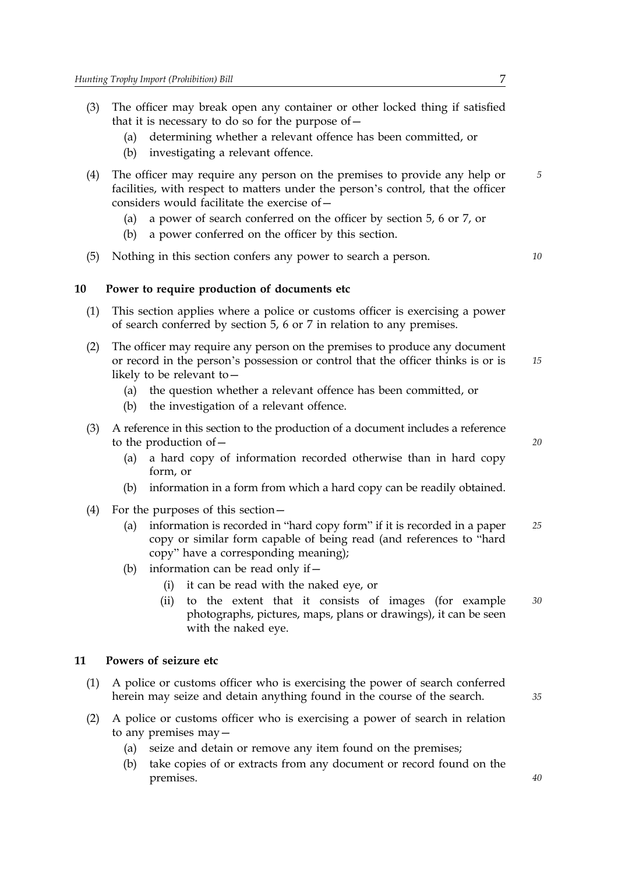- (3) The officer may break open any container or other locked thing if satisfied that it is necessary to do so for the purpose of—
	- (a) determining whether a relevant offence has been committed, or
	- (b) investigating a relevant offence.
- (4) The officer may require any person on the premises to provide any help or *5* facilities, with respect to matters under the person's control, that the officer considers would facilitate the exercise of—
	- (a) a power of search conferred on the officer by section 5, 6 or 7, or
	- (b) a power conferred on the officer by this section.
- (5) Nothing in this section confers any power to search a person. *10*

## **10 Power to require production of documents etc**

- (1) This section applies where a police or customs officer is exercising a power of search conferred by section 5, 6 or 7 in relation to any premises.
- (2) *15* The officer may require any person on the premises to produce any document or record in the person's possession or control that the officer thinks is or is likely to be relevant to—
	- (a) the question whether a relevant offence has been committed, or
	- (b) the investigation of a relevant offence.
- (3) A reference in this section to the production of a document includes a reference to the production of—
	- (a) a hard copy of information recorded otherwise than in hard copy form, or
	- (b) information in a form from which a hard copy can be readily obtained.
- (4) For the purposes of this section—
	- (a) information is recorded in "hard copy form" if it is recorded in a paper *25* copy or similar form capable of being read (and references to "hard copy" have a corresponding meaning);
	- (b) information can be read only if—
		- (i) it can be read with the naked eye, or
		- (ii) to the extent that it consists of images (for example *30* photographs, pictures, maps, plans or drawings), it can be seen with the naked eye.

## **11 Powers of seizure etc**

- (1) A police or customs officer who is exercising the power of search conferred herein may seize and detain anything found in the course of the search.
- (2) A police or customs officer who is exercising a power of search in relation to any premises may—
	- (a) seize and detain or remove any item found on the premises;
	- (b) take copies of or extracts from any document or record found on the premises.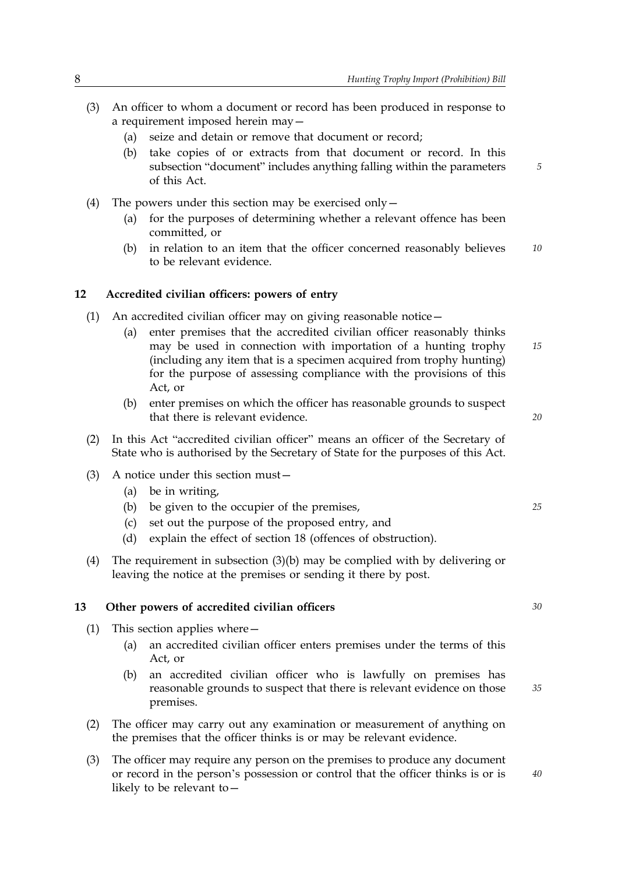- (3) An officer to whom a document or record has been produced in response to a requirement imposed herein may—
	- (a) seize and detain or remove that document or record;
	- (b) take copies of or extracts from that document or record. In this subsection "document" includes anything falling within the parameters of this Act.
- (4) The powers under this section may be exercised only—
	- (a) for the purposes of determining whether a relevant offence has been committed, or
	- (b) in relation to an item that the officer concerned reasonably believes *10* to be relevant evidence.

#### **12 Accredited civilian officers: powers of entry**

- (1) An accredited civilian officer may on giving reasonable notice—
	- (a) *15* enter premises that the accredited civilian officer reasonably thinks may be used in connection with importation of a hunting trophy (including any item that is a specimen acquired from trophy hunting) for the purpose of assessing compliance with the provisions of this Act, or
	- (b) enter premises on which the officer has reasonable grounds to suspect that there is relevant evidence.
- (2) In this Act "accredited civilian officer" means an officer of the Secretary of State who is authorised by the Secretary of State for the purposes of this Act.
- (3) A notice under this section must—
	- (a) be in writing,
	- (b) be given to the occupier of the premises, *25*
	- (c) set out the purpose of the proposed entry, and
	- (d) explain the effect of section 18 (offences of obstruction).
- (4) The requirement in subsection (3)(b) may be complied with by delivering or leaving the notice at the premises or sending it there by post.

## **13 Other powers of accredited civilian officers** *30*

- (1) This section applies where—
	- (a) an accredited civilian officer enters premises under the terms of this Act, or
	- (b) an accredited civilian officer who is lawfully on premises has reasonable grounds to suspect that there is relevant evidence on those premises.
- (2) The officer may carry out any examination or measurement of anything on the premises that the officer thinks is or may be relevant evidence.
- (3) The officer may require any person on the premises to produce any document or record in the person's possession or control that the officer thinks is or is likely to be relevant to—

*20*

*5*

*35*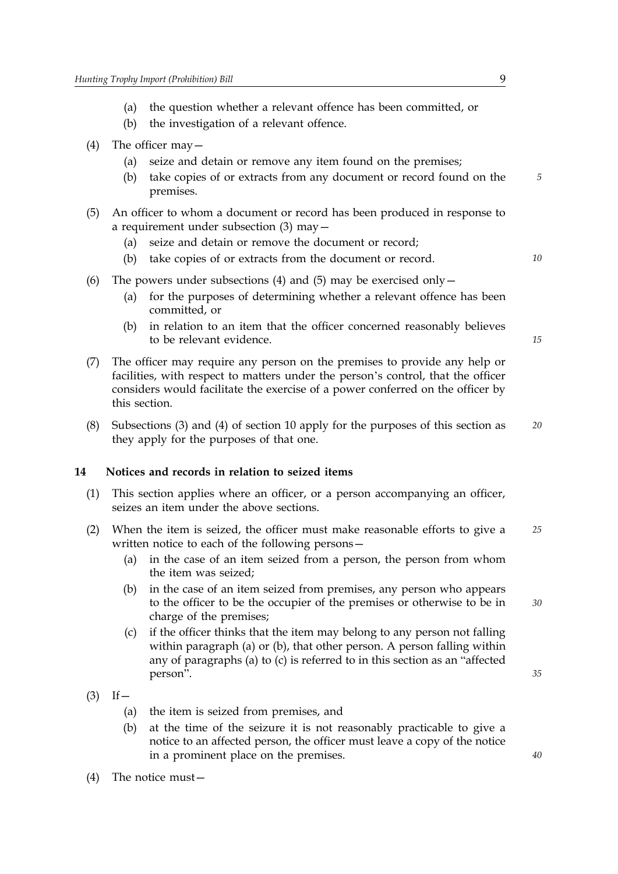- (a) the question whether a relevant offence has been committed, or
- (b) the investigation of a relevant offence.
- (4) The officer may—
	- (a) seize and detain or remove any item found on the premises;
	- (b) take copies of or extracts from any document or record found on the *5* premises.
- (5) An officer to whom a document or record has been produced in response to a requirement under subsection (3) may—
	- (a) seize and detain or remove the document or record;
	- (b) take copies of or extracts from the document or record. *10*
- (6) The powers under subsections (4) and (5) may be exercised only  $-$ 
	- (a) for the purposes of determining whether a relevant offence has been committed, or
	- (b) in relation to an item that the officer concerned reasonably believes to be relevant evidence.

- (7) The officer may require any person on the premises to provide any help or facilities, with respect to matters under the person's control, that the officer considers would facilitate the exercise of a power conferred on the officer by this section.
- (8) Subsections (3) and (4) of section 10 apply for the purposes of this section as *20* they apply for the purposes of that one.

## **14 Notices and records in relation to seized items**

- (1) This section applies where an officer, or a person accompanying an officer, seizes an item under the above sections.
- (2) When the item is seized, the officer must make reasonable efforts to give a *25* written notice to each of the following persons—
	- (a) in the case of an item seized from a person, the person from whom the item was seized;
	- (b) *30* in the case of an item seized from premises, any person who appears to the officer to be the occupier of the premises or otherwise to be in charge of the premises;
	- (c) if the officer thinks that the item may belong to any person not falling within paragraph (a) or (b), that other person. A person falling within any of paragraphs (a) to (c) is referred to in this section as an "affected person".
- $(3)$  If  $-$ 
	- (a) the item is seized from premises, and
	- (b) at the time of the seizure it is not reasonably practicable to give a notice to an affected person, the officer must leave a copy of the notice in a prominent place on the premises.
- (4) The notice must—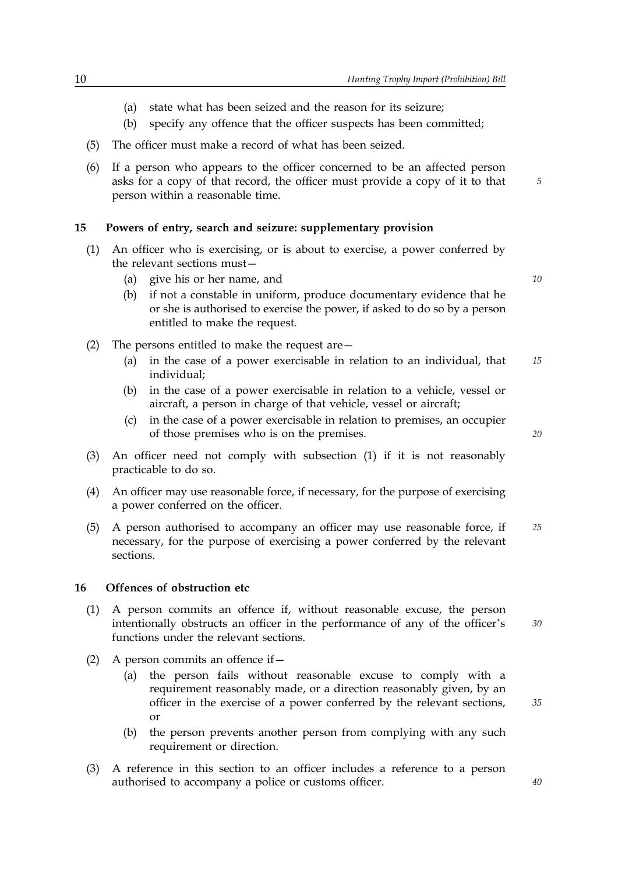- (a) state what has been seized and the reason for its seizure;
- (b) specify any offence that the officer suspects has been committed;
- (5) The officer must make a record of what has been seized.
- (6) If a person who appears to the officer concerned to be an affected person asks for a copy of that record, the officer must provide a copy of it to that person within a reasonable time.

#### **15 Powers of entry, search and seizure: supplementary provision**

- (1) An officer who is exercising, or is about to exercise, a power conferred by the relevant sections must—
	- (a) give his or her name, and *10*

*5*

- (b) if not a constable in uniform, produce documentary evidence that he or she is authorised to exercise the power, if asked to do so by a person entitled to make the request.
- (2) The persons entitled to make the request are  $-$ 
	- (a) in the case of a power exercisable in relation to an individual, that *15* individual;
	- (b) in the case of a power exercisable in relation to a vehicle, vessel or aircraft, a person in charge of that vehicle, vessel or aircraft;
	- $(c)$ in the case of a power exercisable in relation to premises, an occupier of those premises who is on the premises.
- (3) An officer need not comply with subsection (1) if it is not reasonably practicable to do so.
- (4) An officer may use reasonable force, if necessary, for the purpose of exercising a power conferred on the officer.
- (5) A person authorised to accompany an officer may use reasonable force, if *25* necessary, for the purpose of exercising a power conferred by the relevant sections.

#### **16 Offences of obstruction etc**

- (1) A person commits an offence if, without reasonable excuse, the person intentionally obstructs an officer in the performance of any of the officer's functions under the relevant sections.
- (2) A person commits an offence if  $-$ 
	- (a) the person fails without reasonable excuse to comply with a requirement reasonably made, or a direction reasonably given, by an officer in the exercise of a power conferred by the relevant sections, or
	- (b) the person prevents another person from complying with any such requirement or direction.
- (3) A reference in this section to an officer includes a reference to a person authorised to accompany a police or customs officer.

*20*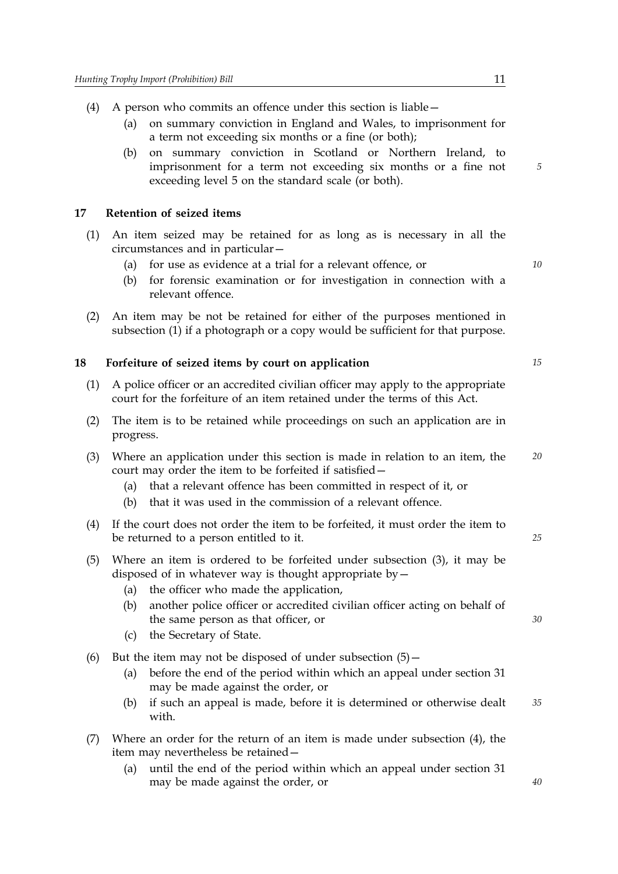- (4) A person who commits an offence under this section is liable—
	- (a) on summary conviction in England and Wales, to imprisonment for a term not exceeding six months or a fine (or both);
	- (b) on summary conviction in Scotland or Northern Ireland, to imprisonment for a term not exceeding six months or a fine not exceeding level 5 on the standard scale (or both).

#### **17 Retention of seized items**

- (1) An item seized may be retained for as long as is necessary in all the circumstances and in particular—
	- (a) for use as evidence at a trial for a relevant offence, or *10*
	- (b) for forensic examination or for investigation in connection with a relevant offence.
- (2) An item may be not be retained for either of the purposes mentioned in subsection (1) if a photograph or a copy would be sufficient for that purpose.

#### **18 Forfeiture of seized items by court on application** *15*

- (1) A police officer or an accredited civilian officer may apply to the appropriate court for the forfeiture of an item retained under the terms of this Act.
- (2) The item is to be retained while proceedings on such an application are in progress.
- (3) Where an application under this section is made in relation to an item, the *20* court may order the item to be forfeited if satisfied—
	- (a) that a relevant offence has been committed in respect of it, or
	- (b) that it was used in the commission of a relevant offence.
- (4) If the court does not order the item to be forfeited, it must order the item to be returned to a person entitled to it.
- (5) Where an item is ordered to be forfeited under subsection (3), it may be disposed of in whatever way is thought appropriate by  $-$ 
	- (a) the officer who made the application,
	- (b) another police officer or accredited civilian officer acting on behalf of the same person as that officer, or
	- (c) the Secretary of State.
- (6) But the item may not be disposed of under subsection  $(5)$  -
	- (a) before the end of the period within which an appeal under section 31 may be made against the order, or
	- (b) if such an appeal is made, before it is determined or otherwise dealt *35* with.
- (7) Where an order for the return of an item is made under subsection (4), the item may nevertheless be retained—
	- (a) until the end of the period within which an appeal under section 31 may be made against the order, or

*5*

*25*

*30*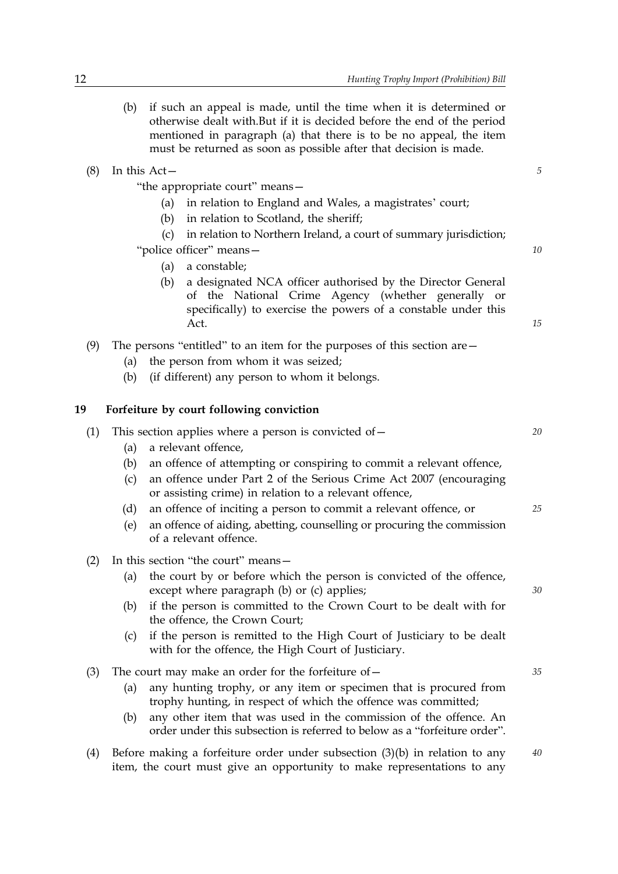- (b) if such an appeal is made, until the time when it is determined or otherwise dealt with.But if it is decided before the end of the period mentioned in paragraph (a) that there is to be no appeal, the item must be returned as soon as possible after that decision is made.
- (8) In this Act— *5*

"the appropriate court" means—

- (a) in relation to England and Wales, a magistrates' court;
- (b) in relation to Scotland, the sheriff;

(c) in relation to Northern Ireland, a court of summary jurisdiction;

"police officer" means— *10*

- (a) a constable;
- (b) a designated NCA officer authorised by the Director General of the National Crime Agency (whether generally or specifically) to exercise the powers of a constable under this Act.
- (9) The persons "entitled" to an item for the purposes of this section are—
	- (a) the person from whom it was seized;
	- (b) (if different) any person to whom it belongs.

## **19 Forfeiture by court following conviction**

| a relevant offence,<br>(a) |                                                                                                   |                                                                                                                   |  |
|----------------------------|---------------------------------------------------------------------------------------------------|-------------------------------------------------------------------------------------------------------------------|--|
| (b)                        | an offence of attempting or conspiring to commit a relevant offence,                              |                                                                                                                   |  |
| (C)                        | an offence under Part 2 of the Serious Crime Act 2007 (encouraging                                |                                                                                                                   |  |
| (d)                        | an offence of inciting a person to commit a relevant offence, or                                  | 25                                                                                                                |  |
| (e)                        | an offence of aiding, abetting, counselling or procuring the commission<br>of a relevant offence. |                                                                                                                   |  |
|                            |                                                                                                   | This section applies where a person is convicted of $-$<br>or assisting crime) in relation to a relevant offence, |  |

- (2) In this section "the court" means—
	- (a) the court by or before which the person is convicted of the offence, except where paragraph (b) or (c) applies;
	- (b) if the person is committed to the Crown Court to be dealt with for the offence, the Crown Court;
	- (c) if the person is remitted to the High Court of Justiciary to be dealt with for the offence, the High Court of Justiciary.
- (3) The court may make an order for the forfeiture of— *35*
	- (a) any hunting trophy, or any item or specimen that is procured from trophy hunting, in respect of which the offence was committed;
	- (b) any other item that was used in the commission of the offence. An order under this subsection is referred to below as a "forfeiture order".
- (4) Before making a forfeiture order under subsection (3)(b) in relation to any *40* item, the court must give an opportunity to make representations to any

*15*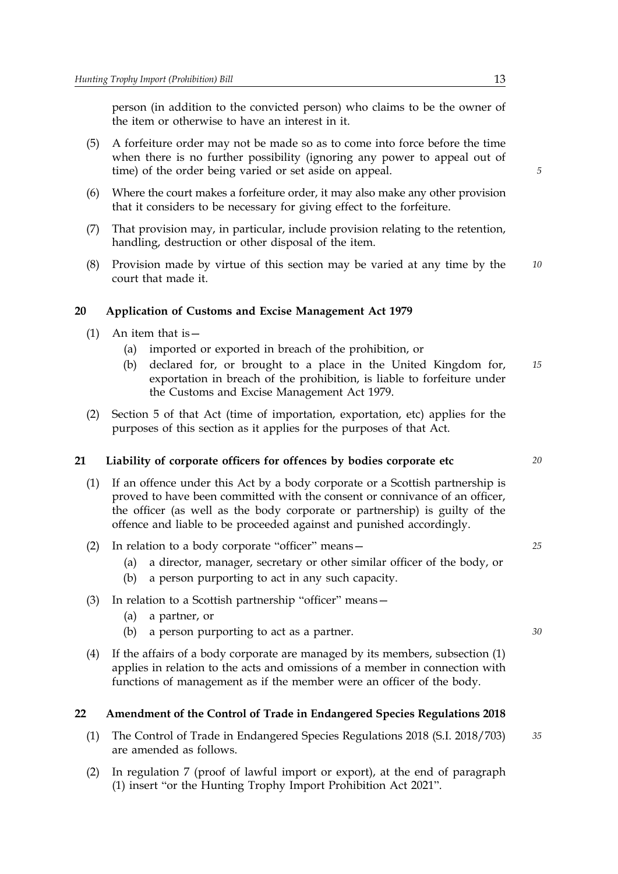person (in addition to the convicted person) who claims to be the owner of the item or otherwise to have an interest in it.

- (5) A forfeiture order may not be made so as to come into force before the time when there is no further possibility (ignoring any power to appeal out of time) of the order being varied or set aside on appeal.
- (6) Where the court makes a forfeiture order, it may also make any other provision that it considers to be necessary for giving effect to the forfeiture.
- (7) That provision may, in particular, include provision relating to the retention, handling, destruction or other disposal of the item.
- (8) Provision made by virtue of this section may be varied at any time by the *10* court that made it.

## **20 Application of Customs and Excise Management Act 1979**

- (1) An item that is—
	- (a) imported or exported in breach of the prohibition, or
	- (b) declared for, or brought to a place in the United Kingdom for, *15* exportation in breach of the prohibition, is liable to forfeiture under the Customs and Excise Management Act 1979.
- (2) Section 5 of that Act (time of importation, exportation, etc) applies for the purposes of this section as it applies for the purposes of that Act.

## **21 Liability of corporate officers for offences by bodies corporate etc** *20*

- (1) If an offence under this Act by a body corporate or a Scottish partnership is proved to have been committed with the consent or connivance of an officer, the officer (as well as the body corporate or partnership) is guilty of the offence and liable to be proceeded against and punished accordingly.
- (2) In relation to a body corporate "officer" means— *25*
	- (a) a director, manager, secretary or other similar officer of the body, or
	- (b) a person purporting to act in any such capacity.
- (3) In relation to a Scottish partnership "officer" means—
	- (a) a partner, or
	- (b) a person purporting to act as a partner. *30*
- (4) If the affairs of a body corporate are managed by its members, subsection (1) applies in relation to the acts and omissions of a member in connection with functions of management as if the member were an officer of the body.

#### **22 Amendment of the Control of Trade in Endangered Species Regulations 2018**

- (1) The Control of Trade in Endangered Species Regulations 2018 (S.I. 2018/703) *35* are amended as follows.
- (2) In regulation 7 (proof of lawful import or export), at the end of paragraph (1) insert "or the Hunting Trophy Import Prohibition Act 2021".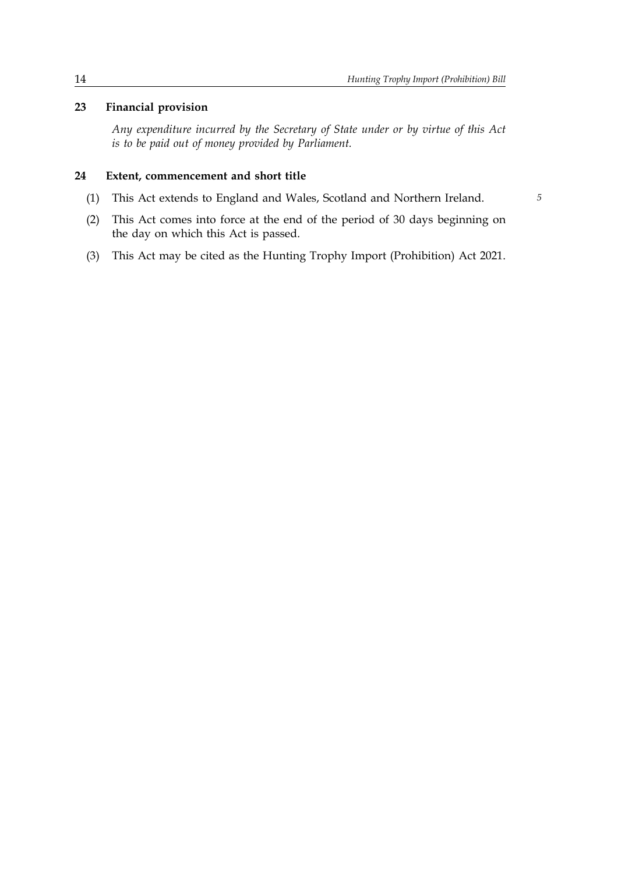## **23 Financial provision**

*Any expenditure incurred by the Secretary of State under or by virtue of this Act is to be paid out of money provided by Parliament.* 

## **24 Extent, commencement and short title**

(1) This Act extends to England and Wales, Scotland and Northern Ireland. *5*

- (2) This Act comes into force at the end of the period of 30 days beginning on the day on which this Act is passed.
- (3) This Act may be cited as the Hunting Trophy Import (Prohibition) Act 2021.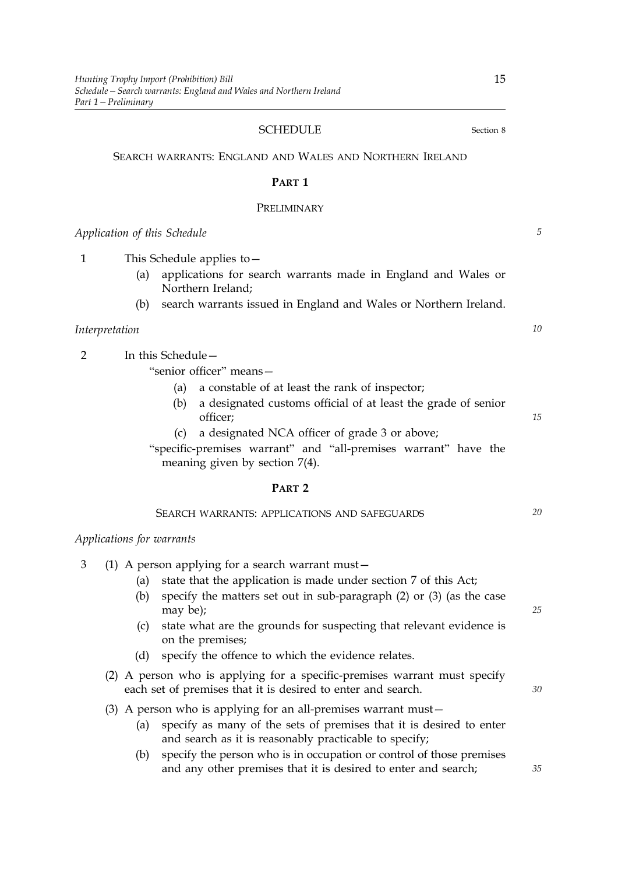#### SCHEDULE Section 8

SEARCH WARRANTS: ENGLAND AND WALES AND NORTHERN IRELAND

#### **PART 1**

#### PRELIMINARY

*Application of this Schedule 5*

1 This Schedule applies to—

- (a) applications for search warrants made in England and Wales or Northern Ireland;
- (b) search warrants issued in England and Wales or Northern Ireland.

## *Interpretation 10*

2 In this Schedule—

"senior officer" means—

- (a) a constable of at least the rank of inspector;
- (b) a designated customs official of at least the grade of senior officer;
- (c) a designated NCA officer of grade 3 or above;

"specific-premises warrant" and "all-premises warrant" have the meaning given by section 7(4).

## **PART 2**

## SEARCH WARRANTS: APPLICATIONS AND SAFEGUARDS *20*

#### *Applications for warrants*

|  |  |  |  |  | (1) A person applying for a search warrant must $-$ |  |
|--|--|--|--|--|-----------------------------------------------------|--|
|--|--|--|--|--|-----------------------------------------------------|--|

- (a) state that the application is made under section 7 of this Act;
- (b) specify the matters set out in sub-paragraph (2) or (3) (as the case may be);
- (c) state what are the grounds for suspecting that relevant evidence is on the premises;
- (d) specify the offence to which the evidence relates.
- (2) A person who is applying for a specific-premises warrant must specify each set of premises that it is desired to enter and search.
- (3) A person who is applying for an all-premises warrant must—
	- (a) specify as many of the sets of premises that it is desired to enter and search as it is reasonably practicable to specify;
	- (b) specify the person who is in occupation or control of those premises and any other premises that it is desired to enter and search;

*15*

*25*

*30*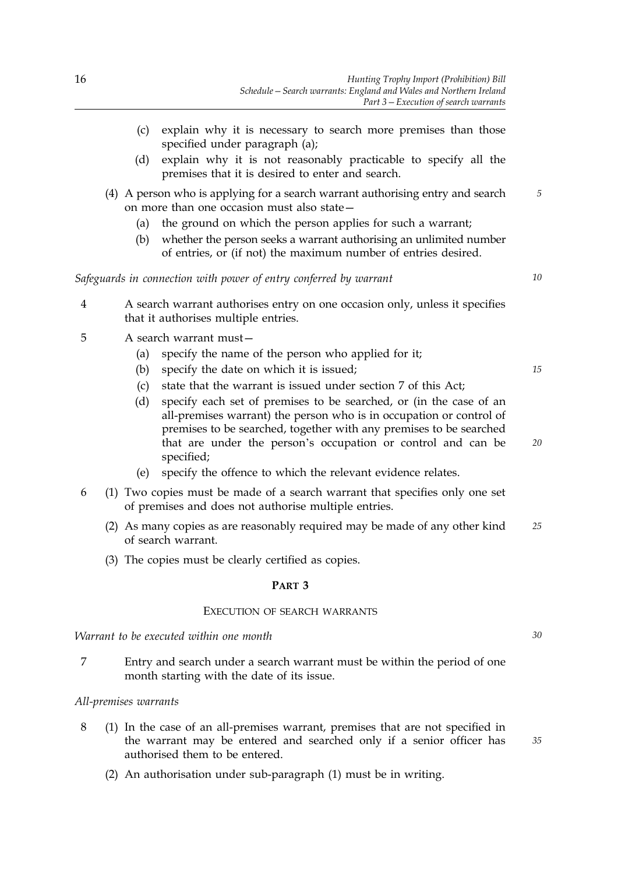- (c) explain why it is necessary to search more premises than those specified under paragraph (a);
- (d) explain why it is not reasonably practicable to specify all the premises that it is desired to enter and search.
- (4) A person who is applying for a search warrant authorising entry and search *5* on more than one occasion must also state—
	- (a) the ground on which the person applies for such a warrant;
	- (b) whether the person seeks a warrant authorising an unlimited number of entries, or (if not) the maximum number of entries desired.

*Safeguards in connection with power of entry conferred by warrant 10*

- 4 A search warrant authorises entry on one occasion only, unless it specifies that it authorises multiple entries.
- 5 A search warrant must—
	- (a) specify the name of the person who applied for it;
	- (b) specify the date on which it is issued; *15*
	- (c) state that the warrant is issued under section 7 of this Act;
	- (d) specify each set of premises to be searched, or (in the case of an all-premises warrant) the person who is in occupation or control of premises to be searched, together with any premises to be searched that are under the person's occupation or control and can be specified;
	- (e) specify the offence to which the relevant evidence relates.
- 6 Two copies must be made of a search warrant that specifies only one set (1) of premises and does not authorise multiple entries.
	- (2) As many copies as are reasonably required may be made of any other kind *25* of search warrant.
	- (3) The copies must be clearly certified as copies.

#### **PART 3**

#### EXECUTION OF SEARCH WARRANTS

*Warrant to be executed within one month 30*

7 Entry and search under a search warrant must be within the period of one month starting with the date of its issue.

#### *All-premises warrants*

- 8  $(1)$  In the case of an all-premises warrant, premises that are not specified in the warrant may be entered and searched only if a senior officer has authorised them to be entered.
	- (2) An authorisation under sub-paragraph (1) must be in writing.

*35*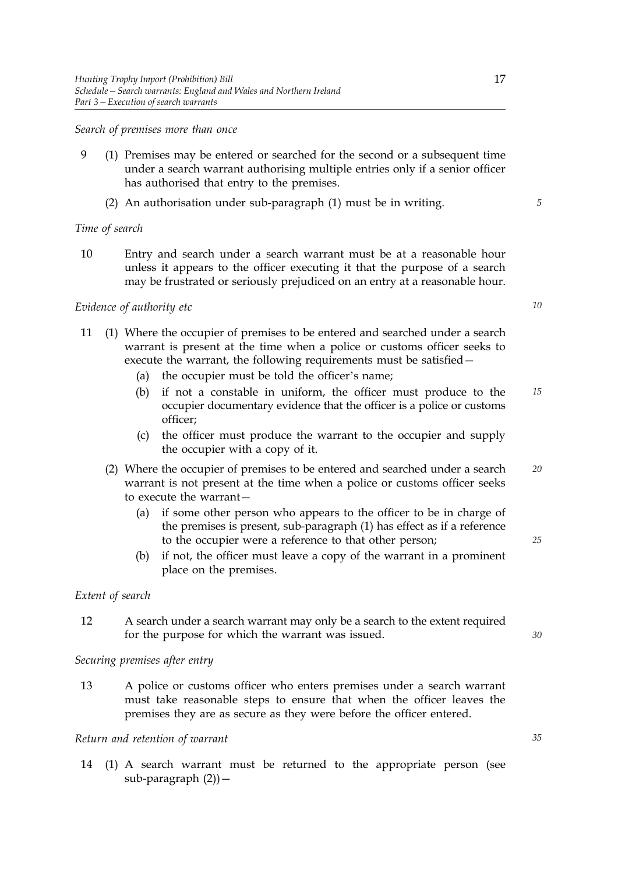#### *Search of premises more than once*

- 9 (1) Premises may be entered or searched for the second or a subsequent time under a search warrant authorising multiple entries only if a senior officer has authorised that entry to the premises.
	- (2) An authorisation under sub-paragraph (1) must be in writing. *5*

#### *Time of search*

10 Entry and search under a search warrant must be at a reasonable hour unless it appears to the officer executing it that the purpose of a search may be frustrated or seriously prejudiced on an entry at a reasonable hour.

## *Evidence of authority etc 10*

- 11 Where the occupier of premises to be entered and searched under a search (1) warrant is present at the time when a police or customs officer seeks to execute the warrant, the following requirements must be satisfied—
	- (a) the occupier must be told the officer's name;
	- (b) if not a constable in uniform, the officer must produce to the *15* occupier documentary evidence that the officer is a police or customs officer;
	- (c) the officer must produce the warrant to the occupier and supply the occupier with a copy of it.
	- (2) Where the occupier of premises to be entered and searched under a search *20* warrant is not present at the time when a police or customs officer seeks to execute the warrant—
		- (a) if some other person who appears to the officer to be in charge of the premises is present, sub-paragraph (1) has effect as if a reference to the occupier were a reference to that other person;
		- (b) if not, the officer must leave a copy of the warrant in a prominent place on the premises.

#### *Extent of search*

12 A search under a search warrant may only be a search to the extent required for the purpose for which the warrant was issued.

*Securing premises after entry* 

13 A police or customs officer who enters premises under a search warrant must take reasonable steps to ensure that when the officer leaves the premises they are as secure as they were before the officer entered.

## *Return and retention of warrant 35*

14 (1) A search warrant must be returned to the appropriate person (see sub-paragraph  $(2)$ ) –

*25*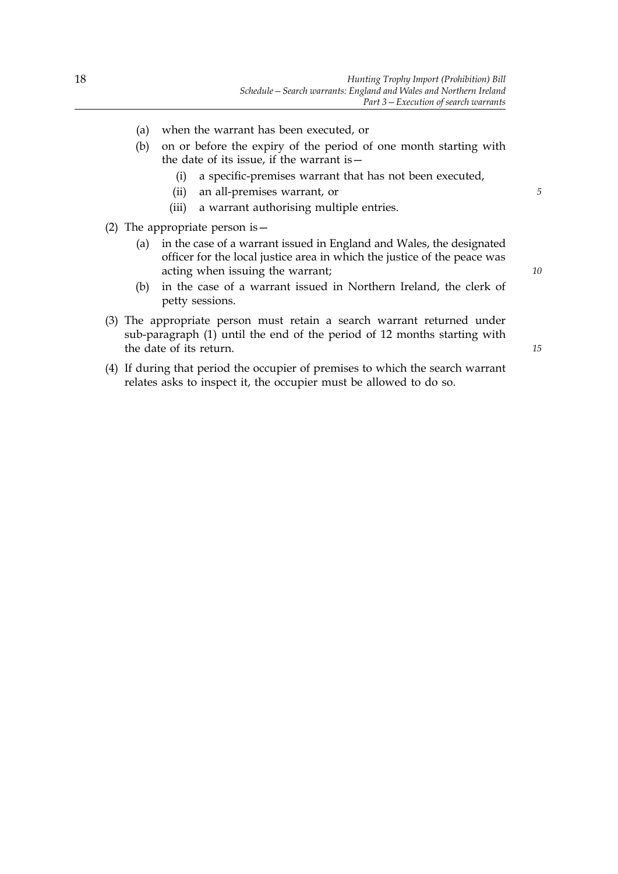- (a) when the warrant has been executed, or
- (b) on or before the expiry of the period of one month starting with the date of its issue, if the warrant is—
	- (i) a specific-premises warrant that has not been executed,
	- (ii) an all-premises warrant, or *5*
	- (iii) a warrant authorising multiple entries.
- (2) The appropriate person is—
	- (a) in the case of a warrant issued in England and Wales, the designated officer for the local justice area in which the justice of the peace was acting when issuing the warrant;
	- (b) in the case of a warrant issued in Northern Ireland, the clerk of petty sessions.
- (3) The appropriate person must retain a search warrant returned under sub-paragraph (1) until the end of the period of 12 months starting with the date of its return.
- (4) If during that period the occupier of premises to which the search warrant relates asks to inspect it, the occupier must be allowed to do so.